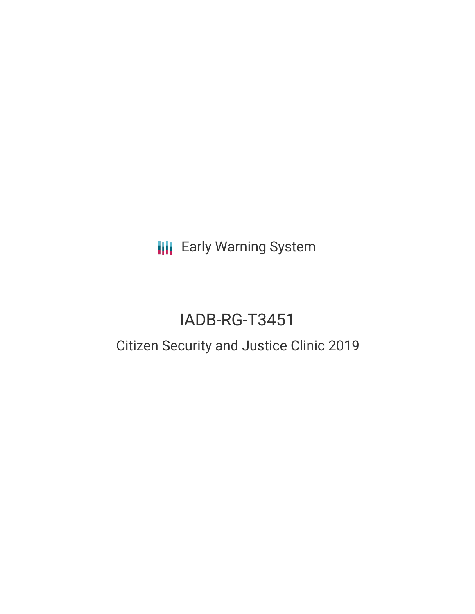**III** Early Warning System

# IADB-RG-T3451

## Citizen Security and Justice Clinic 2019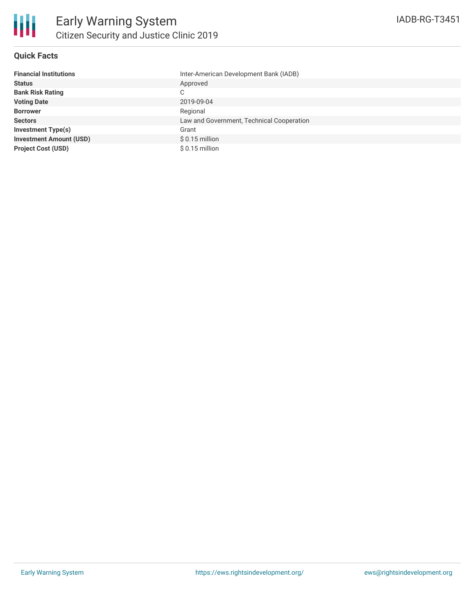

#### **Quick Facts**

| <b>Financial Institutions</b>  | Inter-American Development Bank (IADB)    |
|--------------------------------|-------------------------------------------|
| <b>Status</b>                  | Approved                                  |
| <b>Bank Risk Rating</b>        | С                                         |
| <b>Voting Date</b>             | 2019-09-04                                |
| <b>Borrower</b>                | Regional                                  |
| <b>Sectors</b>                 | Law and Government, Technical Cooperation |
| <b>Investment Type(s)</b>      | Grant                                     |
| <b>Investment Amount (USD)</b> | $$0.15$ million                           |
| <b>Project Cost (USD)</b>      | $$0.15$ million                           |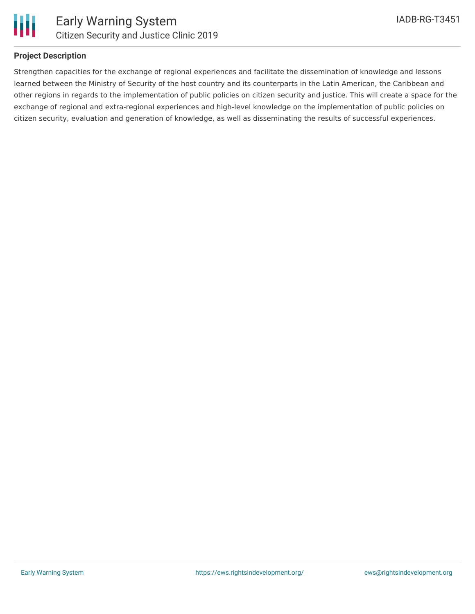

#### **Project Description**

Strengthen capacities for the exchange of regional experiences and facilitate the dissemination of knowledge and lessons learned between the Ministry of Security of the host country and its counterparts in the Latin American, the Caribbean and other regions in regards to the implementation of public policies on citizen security and justice. This will create a space for the exchange of regional and extra-regional experiences and high-level knowledge on the implementation of public policies on citizen security, evaluation and generation of knowledge, as well as disseminating the results of successful experiences.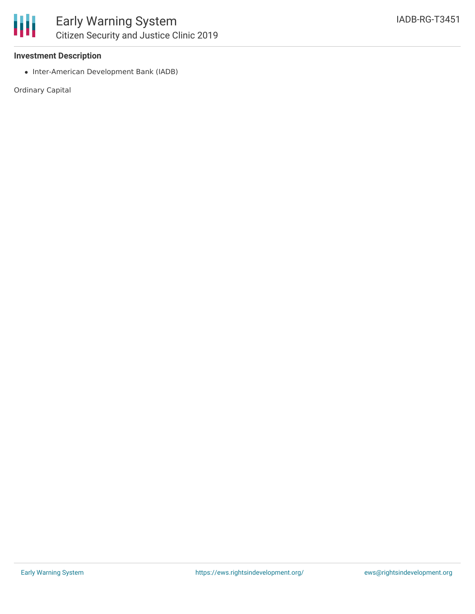

#### **Investment Description**

• Inter-American Development Bank (IADB)

Ordinary Capital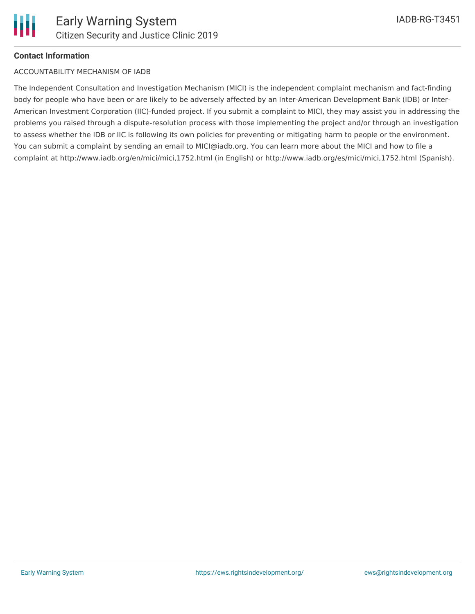#### **Contact Information**

#### ACCOUNTABILITY MECHANISM OF IADB

The Independent Consultation and Investigation Mechanism (MICI) is the independent complaint mechanism and fact-finding body for people who have been or are likely to be adversely affected by an Inter-American Development Bank (IDB) or Inter-American Investment Corporation (IIC)-funded project. If you submit a complaint to MICI, they may assist you in addressing the problems you raised through a dispute-resolution process with those implementing the project and/or through an investigation to assess whether the IDB or IIC is following its own policies for preventing or mitigating harm to people or the environment. You can submit a complaint by sending an email to MICI@iadb.org. You can learn more about the MICI and how to file a complaint at http://www.iadb.org/en/mici/mici,1752.html (in English) or http://www.iadb.org/es/mici/mici,1752.html (Spanish).